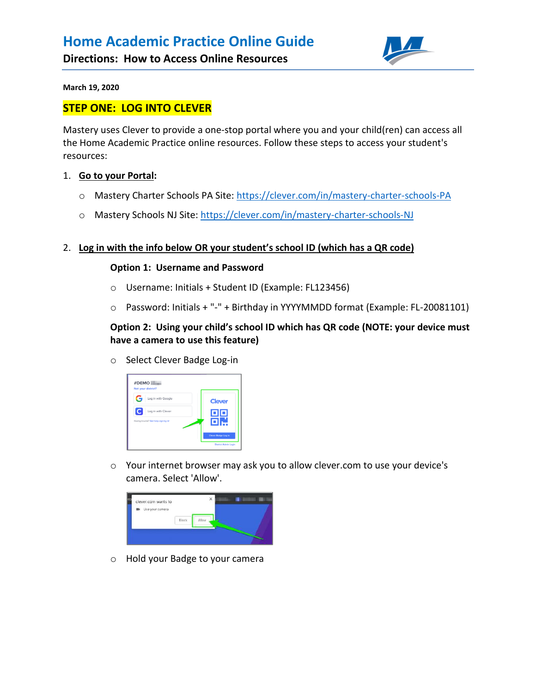

**March 19, 2020** 

# **STEP ONE: LOG INTO CLEVER**

Mastery uses Clever to provide a one-stop portal where you and your child(ren) can access all the Home Academic Practice online resources. Follow these steps to access your student's resources:

### 1. **Go to your Portal:**

- o Mastery Charter Schools PA Site:<https://clever.com/in/mastery-charter-schools-PA>
- o Mastery Schools NJ Site:<https://clever.com/in/mastery-charter-schools-NJ>

## 2. **Log in with the info below OR your student's school ID (which has a QR code)**

### **Option 1: Username and Password**

- o Username: Initials + Student ID (Example: FL123456)
- o Password: Initials + "-" + Birthday in YYYYMMDD format (Example: FL-20081101)

# **Option 2: Using your child's school ID which has QR code (NOTE: your device must have a camera to use this feature)**

o Select Clever Badge Log-in



o Your internet browser may ask you to allow clever.com to use your device's camera. Select 'Allow'.



o Hold your Badge to your camera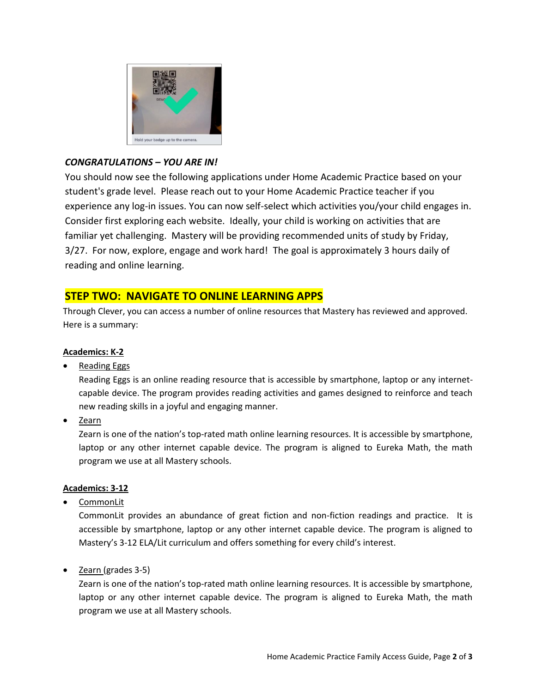

# *CONGRATULATIONS – YOU ARE IN!*

You should now see the following applications under Home Academic Practice based on your student's grade level. Please reach out to your Home Academic Practice teacher if you experience any log-in issues. You can now self-select which activities you/your child engages in. Consider first exploring each website. Ideally, your child is working on activities that are familiar yet challenging. Mastery will be providing recommended units of study by Friday, 3/27. For now, explore, engage and work hard! The goal is approximately 3 hours daily of reading and online learning.

# **STEP TWO: NAVIGATE TO ONLINE LEARNING APPS**

Through Clever, you can access a number of online resources that Mastery has reviewed and approved. Here is a summary:

# **Academics: K-2**

Reading Eggs

Reading Eggs is an online reading resource that is accessible by smartphone, laptop or any internetcapable device. The program provides reading activities and games designed to reinforce and teach new reading skills in a joyful and engaging manner.

Zearn

Zearn is one of the nation's top-rated math online learning resources. It is accessible by smartphone, laptop or any other internet capable device. The program is aligned to Eureka Math, the math program we use at all Mastery schools.

## **Academics: 3-12**

CommonLit

CommonLit provides an abundance of great fiction and non-fiction readings and practice. It is accessible by smartphone, laptop or any other internet capable device. The program is aligned to Mastery's 3-12 ELA/Lit curriculum and offers something for every child's interest.

• Zearn (grades 3-5)

Zearn is one of the nation's top-rated math online learning resources. It is accessible by smartphone, laptop or any other internet capable device. The program is aligned to Eureka Math, the math program we use at all Mastery schools.